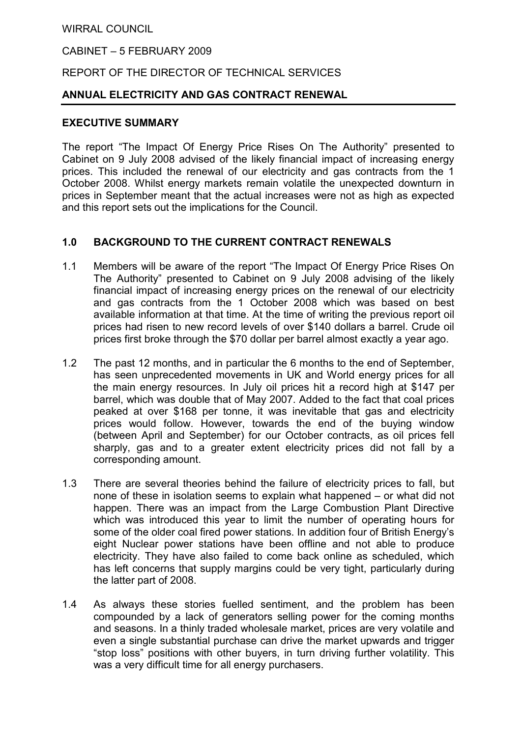#### WIRRAL COUNCIL

#### CABINET – 5 FEBRUARY 2009

## REPORT OF THE DIRECTOR OF TECHNICAL SERVICES

#### ANNUAL ELECTRICITY AND GAS CONTRACT RENEWAL

#### EXECUTIVE SUMMARY

The report "The Impact Of Energy Price Rises On The Authority" presented to Cabinet on 9 July 2008 advised of the likely financial impact of increasing energy prices. This included the renewal of our electricity and gas contracts from the 1 October 2008. Whilst energy markets remain volatile the unexpected downturn in prices in September meant that the actual increases were not as high as expected and this report sets out the implications for the Council.

#### 1.0 BACKGROUND TO THE CURRENT CONTRACT RENEWALS

- 1.1 Members will be aware of the report "The Impact Of Energy Price Rises On The Authority" presented to Cabinet on 9 July 2008 advising of the likely financial impact of increasing energy prices on the renewal of our electricity and gas contracts from the 1 October 2008 which was based on best available information at that time. At the time of writing the previous report oil prices had risen to new record levels of over \$140 dollars a barrel. Crude oil prices first broke through the \$70 dollar per barrel almost exactly a year ago.
- 1.2 The past 12 months, and in particular the 6 months to the end of September, has seen unprecedented movements in UK and World energy prices for all the main energy resources. In July oil prices hit a record high at \$147 per barrel, which was double that of May 2007. Added to the fact that coal prices peaked at over \$168 per tonne, it was inevitable that gas and electricity prices would follow. However, towards the end of the buying window (between April and September) for our October contracts, as oil prices fell sharply, gas and to a greater extent electricity prices did not fall by a corresponding amount.
- 1.3 There are several theories behind the failure of electricity prices to fall, but none of these in isolation seems to explain what happened – or what did not happen. There was an impact from the Large Combustion Plant Directive which was introduced this year to limit the number of operating hours for some of the older coal fired power stations. In addition four of British Energy's eight Nuclear power stations have been offline and not able to produce electricity. They have also failed to come back online as scheduled, which has left concerns that supply margins could be very tight, particularly during the latter part of 2008.
- 1.4 As always these stories fuelled sentiment, and the problem has been compounded by a lack of generators selling power for the coming months and seasons. In a thinly traded wholesale market, prices are very volatile and even a single substantial purchase can drive the market upwards and trigger "stop loss" positions with other buyers, in turn driving further volatility. This was a very difficult time for all energy purchasers.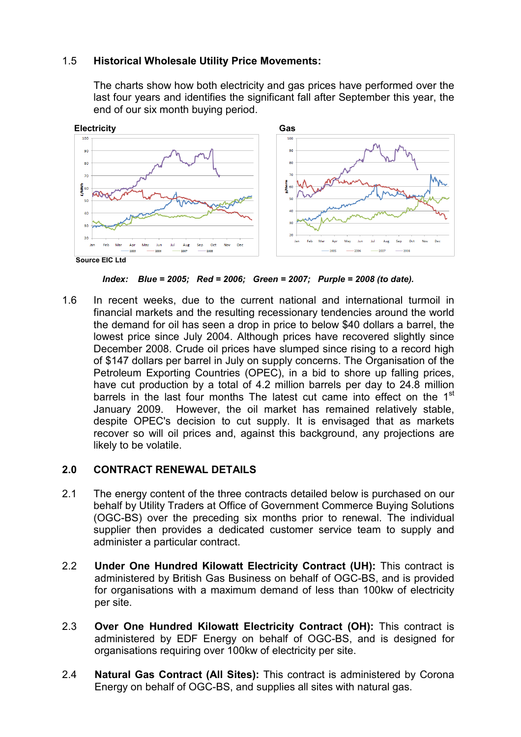# 1.5 Historical Wholesale Utility Price Movements:

The charts show how both electricity and gas prices have performed over the last four years and identifies the significant fall after September this year, the end of our six month buying period.



Index: Blue = 2005; Red = 2006; Green = 2007; Purple = 2008 (to date).

1.6 In recent weeks, due to the current national and international turmoil in financial markets and the resulting recessionary tendencies around the world the demand for oil has seen a drop in price to below \$40 dollars a barrel, the lowest price since July 2004. Although prices have recovered slightly since December 2008. Crude oil prices have slumped since rising to a record high of \$147 dollars per barrel in July on supply concerns. The Organisation of the Petroleum Exporting Countries (OPEC), in a bid to shore up falling prices, have cut production by a total of 4.2 million barrels per day to 24.8 million barrels in the last four months The latest cut came into effect on the 1<sup>st</sup> January 2009. However, the oil market has remained relatively stable, despite OPEC's decision to cut supply. It is envisaged that as markets recover so will oil prices and, against this background, any projections are likely to be volatile.

## 2.0 CONTRACT RENEWAL DETAILS

- 2.1 The energy content of the three contracts detailed below is purchased on our behalf by Utility Traders at Office of Government Commerce Buying Solutions (OGC-BS) over the preceding six months prior to renewal. The individual supplier then provides a dedicated customer service team to supply and administer a particular contract.
- 2.2 Under One Hundred Kilowatt Electricity Contract (UH): This contract is administered by British Gas Business on behalf of OGC-BS, and is provided for organisations with a maximum demand of less than 100kw of electricity per site.
- 2.3 Over One Hundred Kilowatt Electricity Contract (OH): This contract is administered by EDF Energy on behalf of OGC-BS, and is designed for organisations requiring over 100kw of electricity per site.
- 2.4 Natural Gas Contract (All Sites): This contract is administered by Corona Energy on behalf of OGC-BS, and supplies all sites with natural gas.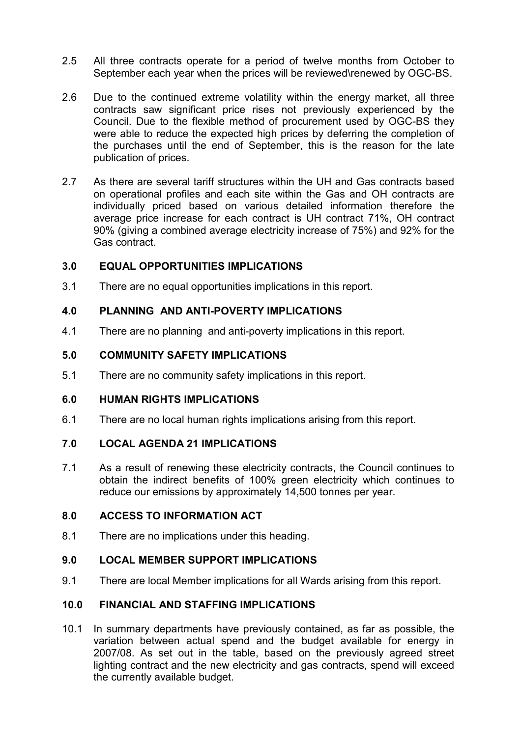- 2.5 All three contracts operate for a period of twelve months from October to September each year when the prices will be reviewed\renewed by OGC-BS.
- 2.6 Due to the continued extreme volatility within the energy market, all three contracts saw significant price rises not previously experienced by the Council. Due to the flexible method of procurement used by OGC-BS they were able to reduce the expected high prices by deferring the completion of the purchases until the end of September, this is the reason for the late publication of prices.
- 2.7 As there are several tariff structures within the UH and Gas contracts based on operational profiles and each site within the Gas and OH contracts are individually priced based on various detailed information therefore the average price increase for each contract is UH contract 71%, OH contract 90% (giving a combined average electricity increase of 75%) and 92% for the Gas contract.

# 3.0 EQUAL OPPORTUNITIES IMPLICATIONS

3.1 There are no equal opportunities implications in this report.

## 4.0 PLANNING AND ANTI-POVERTY IMPLICATIONS

4.1 There are no planning and anti-poverty implications in this report.

## 5.0 COMMUNITY SAFETY IMPLICATIONS

5.1 There are no community safety implications in this report.

## 6.0 HUMAN RIGHTS IMPLICATIONS

6.1 There are no local human rights implications arising from this report.

## 7.0 LOCAL AGENDA 21 IMPLICATIONS

7.1 As a result of renewing these electricity contracts, the Council continues to obtain the indirect benefits of 100% green electricity which continues to reduce our emissions by approximately 14,500 tonnes per year.

## 8.0 ACCESS TO INFORMATION ACT

8.1 There are no implications under this heading.

## 9.0 LOCAL MEMBER SUPPORT IMPLICATIONS

9.1 There are local Member implications for all Wards arising from this report.

## 10.0 FINANCIAL AND STAFFING IMPLICATIONS

10.1 In summary departments have previously contained, as far as possible, the variation between actual spend and the budget available for energy in 2007/08. As set out in the table, based on the previously agreed street lighting contract and the new electricity and gas contracts, spend will exceed the currently available budget.